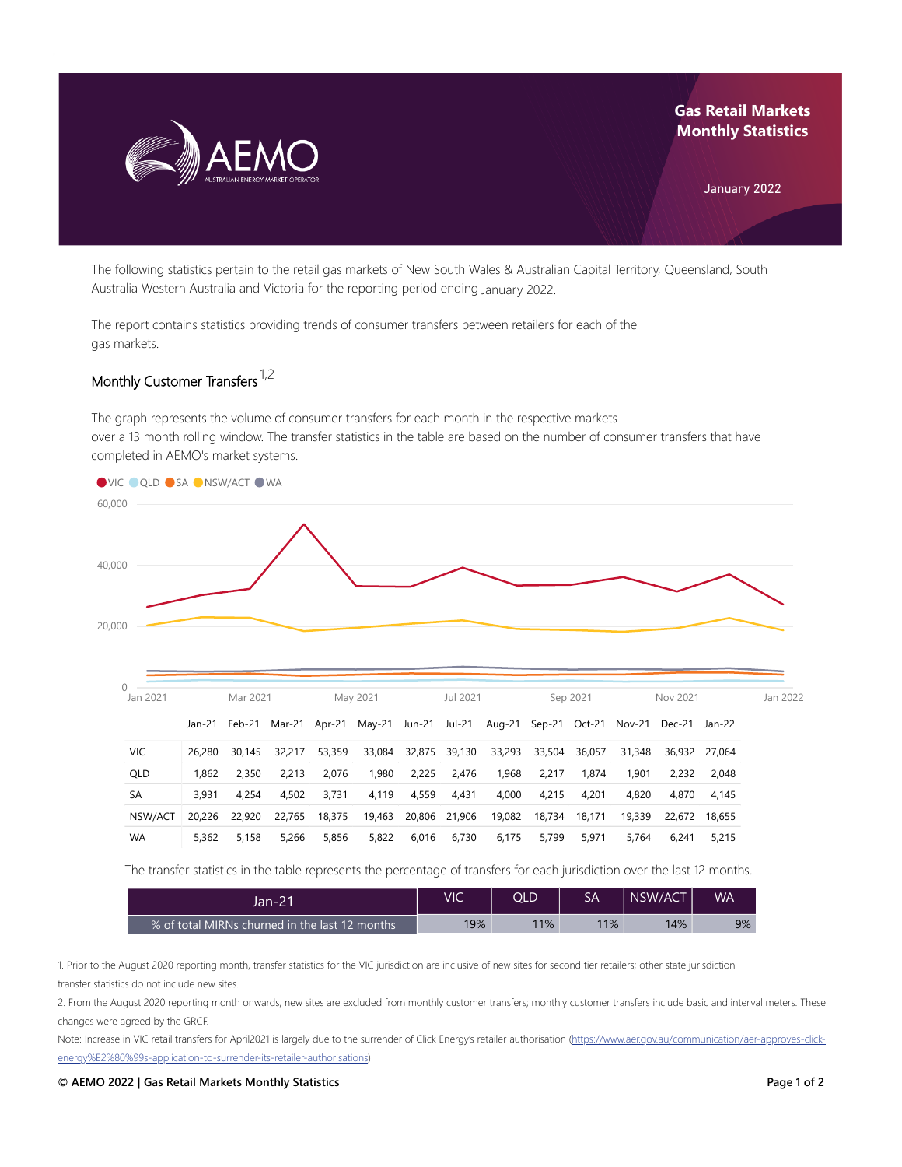

## **Gas Retail Markets Monthly Statistics**

January 2022

The following statistics pertain to the retail gas markets of New South Wales & Australian Capital Territory, Queensland, South Australia Western Australia and Victoria for the reporting period ending January 2022.

The report contains statistics providing trends of consumer transfers between retailers for each of the gas markets.

## Monthly Customer Transfers <sup>1,2</sup>

The graph represents the volume of consumer transfers for each month in the respective markets over a 13 month rolling window. The transfer statistics in the table are based on the number of consumer transfers that have completed in AEMO's market systems.



| <b>VIC</b> |       |       |                     | 26,280 30,145 32,217 53,359 33,084 32,875 39,130 33,293 33,504 36,057 31,348 36,932 27,064 |       |  |                                          |  |       |             |             |
|------------|-------|-------|---------------------|--------------------------------------------------------------------------------------------|-------|--|------------------------------------------|--|-------|-------------|-------------|
| QLD        | 1.862 | 2.350 |                     | 2.213 2.076                                                                                |       |  | 1,980  2,225  2,476  1,968  2,217  1,874 |  | 1.901 |             | 2.232 2.048 |
| <b>SA</b>  | 3.931 |       | 4.254  4.502  3.731 |                                                                                            |       |  |                                          |  | 4.820 | 4.870       | 4.145       |
| NSW/ACT    |       |       |                     | 20,226 22,920 22,765 18,375 19,463 20,806 21,906 19,082 18,734 18,171 19,339 22,672 18,655 |       |  |                                          |  |       |             |             |
| <b>WA</b>  | 5.362 | 5.158 | 5.266               | 5,856                                                                                      | 5,822 |  | 6,016 6,730 6,175 5,799 5,971            |  |       | 5.764 6.241 | 5,215       |

The transfer statistics in the table represents the percentage of transfers for each jurisdiction over the last 12 months.

| Jan-21                                          | VIC | OLD | SA  | NSW/ACT | <b>WA</b> |
|-------------------------------------------------|-----|-----|-----|---------|-----------|
| ।% of total MIRNs churned in the last 12 months | 19% | 11% | 11% | 14%     | 9%        |

1. Prior to the August 2020 reporting month, transfer statistics for the VIC jurisdiction are inclusive of new sites for second tier retailers; other state jurisdiction transfer statistics do not include new sites.

2. From the August 2020 reporting month onwards, new sites are excluded from monthly customer transfers; monthly customer transfers include basic and interval meters. These changes were agreed by the GRCF.

Note: Increase in VIC retail transfers for April2021 is largely due to the surrender of Click Energy's retailer authorisation (https://www.aer.gov.au/communication/aer-approves-click[energy%E2%80%99s-application-to-surrender-its-retailer-authorisations\)](https://www.aer.gov.au/communication/aer-approves-click-energy%E2%80%99s-application-to-surrender-its-retailer-authorisations)